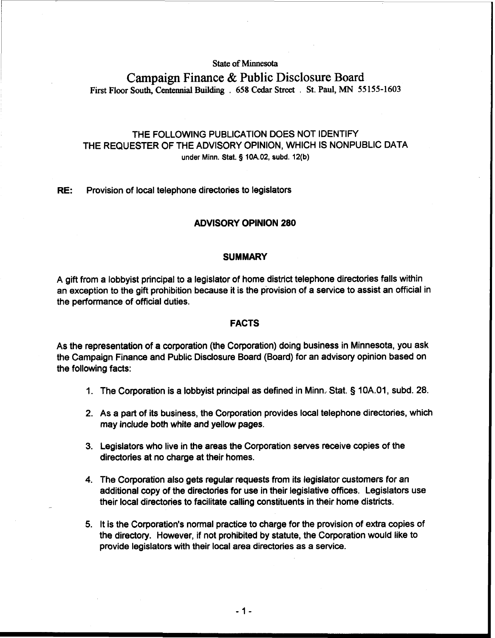# **State of Minnesota**

# **Campaign Finance** & **Public Disclosure Board First Floor South, Centennial Building** . **658 Cedar Street** . **St. Paul, MN 55 155-1603**

# THE FOLLOWING PUBLICATION DOES NOT IDENTIFY THE REQUESTER OF THE ADVISORY OPINION, WHICH IS NONPUBLIC DATA **under Minn.** Stat. **5 10A.02, subd. 12(b)**

**RE:** Provision of local telephone directories to legislators

# **ADVISORY OPINION 280**

#### **SUMMARY**

A gift from a lobbyist principal to a legislator of home district telephone directories falls within an exception to the gift prohibition because it is the provision of a service to assist an official in the performance of official duties.

## **FACTS**

As the representation of a corporation (the Corporation) doing business in Minnesota, you ask the Campaign Finance and Public Disclosure Board (Board) for an advisory opinion based on the following facts:

- 1. The Corporation is a lobbyist principal as defined in Minn. Stat. § 10A.01, subd. 28.
- 2. As a part of its business, the Corporation provides local telephone directories, which may include both white and yellow pages.
- 3. Legislators who live in the areas the Corporation serves receive copies of the directories at no charge at their homes.
- 4. The Corporation also gets regular requests from its legislator customers for an additional copy of the directories for use in their legislative offices. Legislators use their local directories to facilitate calling constituents in their home districts.
- 5. It is the Corporation's normal practice to charge for the provision of extra copies of the directory. However, if not prohibited by statute, the Corporation would like to provide legislators with their local area directories as a service.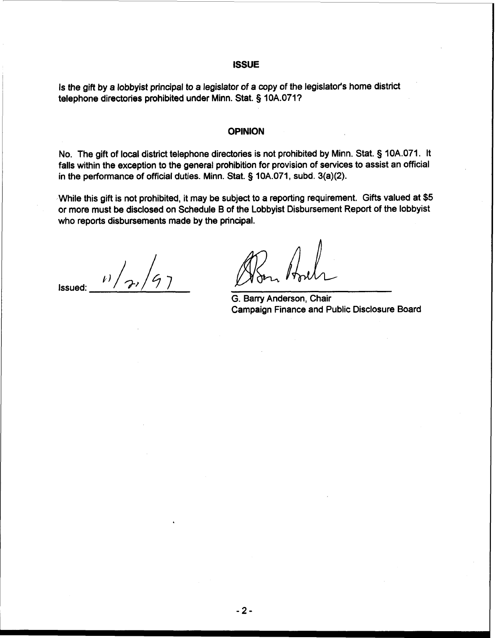### **ISSUE**

Is the gift by a lobbyist principal to a legislator of a copy of the legislator's home district telephone directories prohibited under Minn. Stat. § 10A.071?

### **OPINION**

No. The gift of local district telephone directories is not prohibited by Minn. Stat. § 10A.071. It falls within the exception to the general prohibition for provision of services to assist an official in the performance of official duties. Minn. Stat. § 10A.071, subd. 3(a)(2).

While this gift is not prohibited, it may be subject to a reporting requirement. Gifts valued at \$5 or more must be disclosed on Schedule B of the Lobbyist Disbursement Report of the lobbyist who reports disbursements made by the principal.

**Issued:**  $\frac{1}{2}$ 

G. Barry Anderson, Chair Campaign Finance and Public Disclosure Board